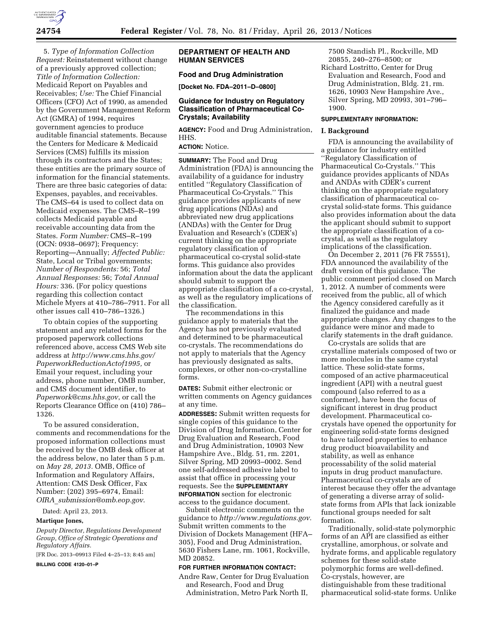

5. *Type of Information Collection Request:* Reinstatement without change of a previously approved collection; *Title of Information Collection:*  Medicaid Report on Payables and Receivables; *Use:* The Chief Financial Officers (CFO) Act of 1990, as amended by the Government Management Reform Act (GMRA) of 1994, requires government agencies to produce auditable financial statements. Because the Centers for Medicare & Medicaid Services (CMS) fulfills its mission through its contractors and the States; these entities are the primary source of information for the financial statements. There are three basic categories of data: Expenses, payables, and receivables. The CMS–64 is used to collect data on Medicaid expenses. The CMS–R–199 collects Medicaid payable and receivable accounting data from the States. *Form Number:* CMS–R–199 (OCN: 0938–0697); Frequency: Reporting—Annually; *Affected Public:*  State, Local or Tribal governments; *Number of Respondents:* 56; *Total Annual Responses:* 56; *Total Annual Hours:* 336. (For policy questions regarding this collection contact Michele Myers at 410–786–7911. For all other issues call 410–786–1326.)

To obtain copies of the supporting statement and any related forms for the proposed paperwork collections referenced above, access CMS Web site address at *[http://www.cms.hhs.gov/](http://www.cms.hhs.gov/PaperworkReductionActof1995)  [PaperworkReductionActof1995,](http://www.cms.hhs.gov/PaperworkReductionActof1995)* or Email your request, including your address, phone number, OMB number, and CMS document identifier, to *[Paperwork@cms.hhs.gov](mailto:Paperwork@cms.hhs.gov)*, or call the Reports Clearance Office on (410) 786– 1326.

To be assured consideration, comments and recommendations for the proposed information collections must be received by the OMB desk officer at the address below, no later than 5 p.m. on *May 28, 2013.* OMB, Office of Information and Regulatory Affairs, Attention: CMS Desk Officer, Fax Number: (202) 395–6974, Email: *OIRA*\_*[submission@omb.eop.gov](mailto:OIRA_submission@omb.eop.gov)*.

Dated: April 23, 2013.

#### **Martique Jones,**

*Deputy Director, Regulations Development Group, Office of Strategic Operations and Regulatory Affairs.* 

[FR Doc. 2013–09913 Filed 4–25–13; 8:45 am]

**BILLING CODE 4120–01–P** 

# **DEPARTMENT OF HEALTH AND HUMAN SERVICES**

# **Food and Drug Administration**

**[Docket No. FDA–2011–D–0800]** 

## **Guidance for Industry on Regulatory Classification of Pharmaceutical Co-Crystals; Availability**

**AGENCY:** Food and Drug Administration, HHS.

# **ACTION:** Notice.

**SUMMARY:** The Food and Drug Administration (FDA) is announcing the availability of a guidance for industry entitled ''Regulatory Classification of Pharmaceutical Co-Crystals.'' This guidance provides applicants of new drug applications (NDAs) and abbreviated new drug applications (ANDAs) with the Center for Drug Evaluation and Research's (CDER's) current thinking on the appropriate regulatory classification of pharmaceutical co-crystal solid-state forms. This guidance also provides information about the data the applicant should submit to support the appropriate classification of a co-crystal, as well as the regulatory implications of the classification.

The recommendations in this guidance apply to materials that the Agency has not previously evaluated and determined to be pharmaceutical co-crystals. The recommendations do not apply to materials that the Agency has previously designated as salts, complexes, or other non-co-crystalline forms.

**DATES:** Submit either electronic or written comments on Agency guidances at any time.

**ADDRESSES:** Submit written requests for single copies of this guidance to the Division of Drug Information, Center for Drug Evaluation and Research, Food and Drug Administration, 10903 New Hampshire Ave., Bldg. 51, rm. 2201, Silver Spring, MD 20993–0002. Send one self-addressed adhesive label to assist that office in processing your requests. See the **SUPPLEMENTARY INFORMATION** section for electronic access to the guidance document.

Submit electronic comments on the guidance to *[http://www.regulations.gov.](http://www.regulations.gov)*  Submit written comments to the Division of Dockets Management (HFA– 305), Food and Drug Administration, 5630 Fishers Lane, rm. 1061, Rockville, MD 20852.

#### **FOR FURTHER INFORMATION CONTACT:**

Andre Raw, Center for Drug Evaluation and Research, Food and Drug Administration, Metro Park North II,

7500 Standish Pl., Rockville, MD 20855, 240–276–8500; or

Richard Lostritto, Center for Drug Evaluation and Research, Food and Drug Administration, Bldg. 21, rm. 1626, 10903 New Hampshire Ave., Silver Spring, MD 20993, 301–796– 1900.

### **SUPPLEMENTARY INFORMATION:**

#### **I. Background**

FDA is announcing the availability of a guidance for industry entitled ''Regulatory Classification of Pharmaceutical Co-Crystals.'' This guidance provides applicants of NDAs and ANDAs with CDER's current thinking on the appropriate regulatory classification of pharmaceutical cocrystal solid-state forms. This guidance also provides information about the data the applicant should submit to support the appropriate classification of a cocrystal, as well as the regulatory implications of the classification.

On December 2, 2011 (76 FR 75551), FDA announced the availability of the draft version of this guidance. The public comment period closed on March 1, 2012. A number of comments were received from the public, all of which the Agency considered carefully as it finalized the guidance and made appropriate changes. Any changes to the guidance were minor and made to clarify statements in the draft guidance.

Co-crystals are solids that are crystalline materials composed of two or more molecules in the same crystal lattice. These solid-state forms, composed of an active pharmaceutical ingredient (API) with a neutral guest compound (also referred to as a conformer), have been the focus of significant interest in drug product development. Pharmaceutical cocrystals have opened the opportunity for engineering solid-state forms designed to have tailored properties to enhance drug product bioavailability and stability, as well as enhance processability of the solid material inputs in drug product manufacture. Pharmaceutical co-crystals are of interest because they offer the advantage of generating a diverse array of solidstate forms from APIs that lack ionizable functional groups needed for salt formation.

Traditionally, solid-state polymorphic forms of an API are classified as either crystalline, amorphous, or solvate and hydrate forms, and applicable regulatory schemes for these solid-state polymorphic forms are well-defined. Co-crystals, however, are distinguishable from these traditional pharmaceutical solid-state forms. Unlike